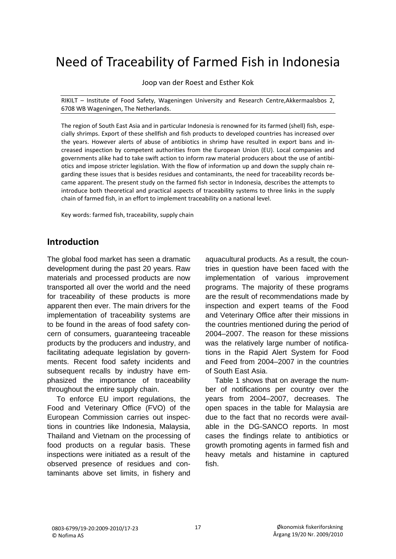# Need of Traceability of Farmed Fish in Indonesia

Joop van der Roest and Esther Kok

RIKILT – Institute of Food Safety, Wageningen University and Research Centre,Akkermaalsbos 2, 6708 WB Wageningen, The Netherlands.

The region of South East Asia and in particular Indonesia is renowned for its farmed (shell) fish, espe‐ cially shrimps. Export of these shellfish and fish products to developed countries has increased over the years. However alerts of abuse of antibiotics in shrimp have resulted in export bans and in‐ creased inspection by competent authorities from the European Union (EU). Local companies and governments alike had to take swift action to inform raw material producers about the use of antibi‐ otics and impose stricter legislation. With the flow of information up and down the supply chain re‐ garding these issues that is besides residues and contaminants, the need for traceability records be‐ came apparent. The present study on the farmed fish sector in Indonesia, describes the attempts to introduce both theoretical and practical aspects of traceability systems to three links in the supply chain of farmed fish, in an effort to implement traceability on a national level.

Key words: farmed fish, traceability, supply chain

# **Introduction**

The global food market has seen a dramatic development during the past 20 years. Raw materials and processed products are now transported all over the world and the need for traceability of these products is more apparent then ever. The main drivers for the implementation of traceability systems are to be found in the areas of food safety concern of consumers, guaranteeing traceable products by the producers and industry, and facilitating adequate legislation by governments. Recent food safety incidents and subsequent recalls by industry have emphasized the importance of traceability throughout the entire supply chain.

 To enforce EU import regulations, the Food and Veterinary Office (FVO) of the European Commission carries out inspections in countries like Indonesia, Malaysia, Thailand and Vietnam on the processing of food products on a regular basis. These inspections were initiated as a result of the observed presence of residues and contaminants above set limits, in fishery and

aquacultural products. As a result, the countries in question have been faced with the implementation of various improvement programs. The majority of these programs are the result of recommendations made by inspection and expert teams of the Food and Veterinary Office after their missions in the countries mentioned during the period of 2004–2007. The reason for these missions was the relatively large number of notifications in the Rapid Alert System for Food and Feed from 2004–2007 in the countries of South East Asia.

 Table 1 shows that on average the number of notifications per country over the years from 2004–2007, decreases. The open spaces in the table for Malaysia are due to the fact that no records were available in the DG-SANCO reports. In most cases the findings relate to antibiotics or growth promoting agents in farmed fish and heavy metals and histamine in captured fish.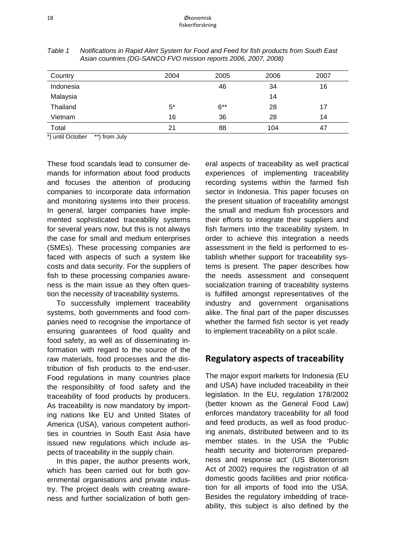| Country   | 2004  | 2005   | 2006 | 2007 |
|-----------|-------|--------|------|------|
| Indonesia |       | 46     | 34   | 16   |
| Malaysia  |       |        | 14   |      |
| Thailand  | $5^*$ | $6***$ | 28   | 17   |
| Vietnam   | 16    | 36     | 28   | 14   |
| Total     | 21    | 88     | 104  | 47   |

*Table 1 Notifications in Rapid Alert System for Food and Feed for fish products from South East Asian countries (DG-SANCO FVO mission reports 2006, 2007, 2008)* 

\*) until October \*\*) from July

These food scandals lead to consumer demands for information about food products and focuses the attention of producing companies to incorporate data information and monitoring systems into their process. In general, larger companies have implemented sophisticated traceability systems for several years now, but this is not always the case for small and medium enterprises (SMEs). These processing companies are faced with aspects of such a system like costs and data security. For the suppliers of fish to these processing companies awareness is the main issue as they often question the necessity of traceability systems.

 To successfully implement traceability systems, both governments and food companies need to recognise the importance of ensuring guarantees of food quality and food safety, as well as of disseminating information with regard to the source of the raw materials, food processes and the distribution of fish products to the end-user. Food regulations in many countries place the responsibility of food safety and the traceability of food products by producers. As traceability is now mandatory by importing nations like EU and United States of America (USA), various competent authorities in countries in South East Asia have issued new regulations which include aspects of traceability in the supply chain.

 In this paper, the author presents work, which has been carried out for both governmental organisations and private industry. The project deals with creating awareness and further socialization of both gen-

eral aspects of traceability as well practical experiences of implementing traceability recording systems within the farmed fish sector in Indonesia. This paper focuses on the present situation of traceability amongst the small and medium fish processors and their efforts to integrate their suppliers and fish farmers into the traceability system. In order to achieve this integration a needs assessment in the field is performed to establish whether support for traceability systems is present. The paper describes how the needs assessment and consequent socialization training of traceability systems is fulfilled amongst representatives of the industry and government organisations alike. The final part of the paper discusses whether the farmed fish sector is yet ready to implement traceability on a pilot scale.

## **Regulatory aspects of traceability**

The major export markets for Indonesia (EU and USA) have included traceability in their legislation. In the EU, regulation 178/2002 (better known as the General Food Law) enforces mandatory traceability for all food and feed products, as well as food producing animals, distributed between and to its member states. In the USA the 'Public health security and bioterrorism preparedness and response act' (US Bioterrorism Act of 2002) requires the registration of all domestic goods facilities and prior notification for all imports of food into the USA. Besides the regulatory imbedding of traceability, this subject is also defined by the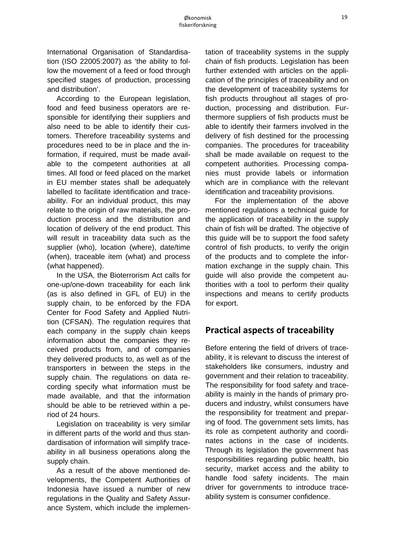International Organisation of Standardisation (ISO 22005:2007) as 'the ability to follow the movement of a feed or food through specified stages of production, processing and distribution'.

 According to the European legislation, food and feed business operators are responsible for identifying their suppliers and also need to be able to identify their customers. Therefore traceability systems and procedures need to be in place and the information, if required, must be made available to the competent authorities at all times. All food or feed placed on the market in EU member states shall be adequately labelled to facilitate identification and traceability. For an individual product, this may relate to the origin of raw materials, the production process and the distribution and location of delivery of the end product. This will result in traceability data such as the supplier (who), location (where), date/time (when), traceable item (what) and process (what happened).

 In the USA, the Bioterrorism Act calls for one-up/one-down traceability for each link (as is also defined in GFL of EU) in the supply chain, to be enforced by the FDA Center for Food Safety and Applied Nutrition (CFSAN). The regulation requires that each company in the supply chain keeps information about the companies they received products from, and of companies they delivered products to, as well as of the transporters in between the steps in the supply chain. The regulations on data recording specify what information must be made available, and that the information should be able to be retrieved within a period of 24 hours.

 Legislation on traceability is very similar in different parts of the world and thus standardisation of information will simplify traceability in all business operations along the supply chain.

 As a result of the above mentioned developments, the Competent Authorities of Indonesia have issued a number of new regulations in the Quality and Safety Assurance System, which include the implementation of traceability systems in the supply chain of fish products. Legislation has been further extended with articles on the application of the principles of traceability and on the development of traceability systems for fish products throughout all stages of production, processing and distribution. Furthermore suppliers of fish products must be able to identify their farmers involved in the delivery of fish destined for the processing companies. The procedures for traceability shall be made available on request to the competent authorities. Processing companies must provide labels or information which are in compliance with the relevant identification and traceability provisions.

 For the implementation of the above mentioned regulations a technical guide for the application of traceability in the supply chain of fish will be drafted. The objective of this guide will be to support the food safety control of fish products, to verify the origin of the products and to complete the information exchange in the supply chain. This guide will also provide the competent authorities with a tool to perform their quality inspections and means to certify products for export.

## **Practical aspects of traceability**

Before entering the field of drivers of traceability, it is relevant to discuss the interest of stakeholders like consumers, industry and government and their relation to traceability. The responsibility for food safety and traceability is mainly in the hands of primary producers and industry, whilst consumers have the responsibility for treatment and preparing of food. The government sets limits, has its role as competent authority and coordinates actions in the case of incidents. Through its legislation the government has responsibilities regarding public health, bio security, market access and the ability to handle food safety incidents. The main driver for governments to introduce traceability system is consumer confidence.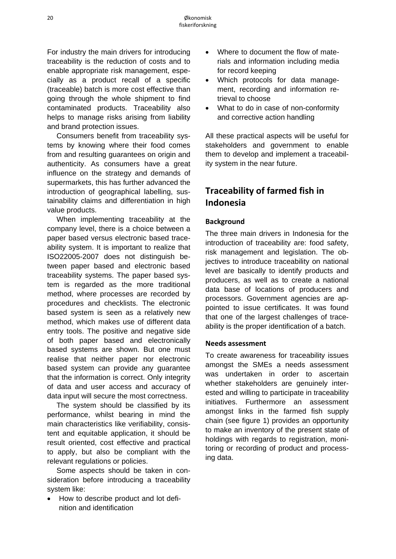For industry the main drivers for introducing traceability is the reduction of costs and to enable appropriate risk management, especially as a product recall of a specific (traceable) batch is more cost effective than going through the whole shipment to find contaminated products. Traceability also helps to manage risks arising from liability and brand protection issues.

 Consumers benefit from traceability systems by knowing where their food comes from and resulting guarantees on origin and authenticity. As consumers have a great influence on the strategy and demands of supermarkets, this has further advanced the introduction of geographical labelling, sustainability claims and differentiation in high value products.

 When implementing traceability at the company level, there is a choice between a paper based versus electronic based traceability system. It is important to realize that ISO22005-2007 does not distinguish between paper based and electronic based traceability systems. The paper based system is regarded as the more traditional method, where processes are recorded by procedures and checklists. The electronic based system is seen as a relatively new method, which makes use of different data entry tools. The positive and negative side of both paper based and electronically based systems are shown. But one must realise that neither paper nor electronic based system can provide any guarantee that the information is correct. Only integrity of data and user access and accuracy of data input will secure the most correctness.

 The system should be classified by its performance, whilst bearing in mind the main characteristics like verifiability, consistent and equitable application, it should be result oriented, cost effective and practical to apply, but also be compliant with the relevant regulations or policies.

 Some aspects should be taken in consideration before introducing a traceability system like:

• How to describe product and lot definition and identification

- Where to document the flow of materials and information including media for record keeping
- Which protocols for data management, recording and information retrieval to choose
- What to do in case of non-conformity and corrective action handling

All these practical aspects will be useful for stakeholders and government to enable them to develop and implement a traceability system in the near future.

# **Traceability of farmed fish in Indonesia**

#### **Background**

The three main drivers in Indonesia for the introduction of traceability are: food safety, risk management and legislation. The objectives to introduce traceability on national level are basically to identify products and producers, as well as to create a national data base of locations of producers and processors. Government agencies are appointed to issue certificates. It was found that one of the largest challenges of traceability is the proper identification of a batch.

#### **Needs assessment**

To create awareness for traceability issues amongst the SMEs a needs assessment was undertaken in order to ascertain whether stakeholders are genuinely interested and willing to participate in traceability initiatives. Furthermore an assessment amongst links in the farmed fish supply chain (see figure 1) provides an opportunity to make an inventory of the present state of holdings with regards to registration, monitoring or recording of product and processing data.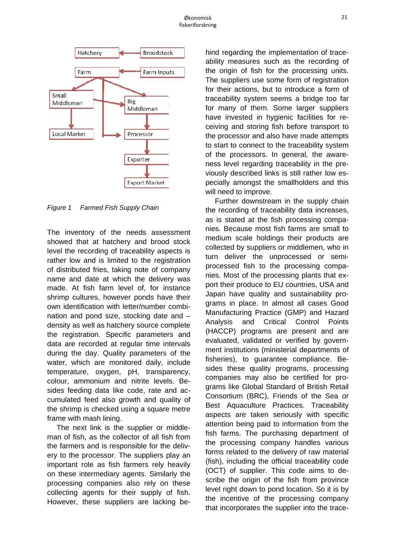

*Figure 1 Farmed F Fish Supply C Chain* 

The inventory of the needs assessment showed that at hatchery and brood stock level the recording of traceability aspects is rather low and is limited to the registration of distributed fries, taking note of company name and date at which the delivery was made. At fish farm level of, for instance shrimp cultures, however ponds have their own identification with letter/number combination and pond size, stocking date and density as well as hatchery source complete the registration. Specific parameters and data are recorded at regular time intervals during the day. Quality parameters of the water, which are monitored daily, include temperature, oxygen, pH, transparency, colour, ammonium and nitrite levels. Besides feeding data like code, rate and accumulated feed also growth and quality of the shrimp is checked using a square metre frame with mash lining.

The next link is the supplier or middleman of fish, as the collector of all fish from the farmers and is responsible for the delivery to the processor. The suppliers play an important role as fish farmers rely heavily on these intermediary agents. Similarly the processing companies also rely on these collecting agents for their supply of fish. However, these suppliers are lacking behind regarding the implementation of traceability measures such as the recording of the origin of fish for the processing units. The suppliers use some form of registration for their actions, but to introduce a form of traceability system seems a bridge too far for many of them. Some larger suppliers have invested in hygienic facilities for receiving and storing fish before transport to the processor and also have made attempts to start to connect to the traceability system of the processors. In general, the awareness level regarding traceability in the previously described links is still rather low especially amongst the smallholders and this will need to improve.

the recording of traceability data increases, as is stated at the fish processing companies. Because most fish farms are small to medium scale holdings their products are collected by suppliers or middlemen, who in turn deliver the unprocessed or semiprocessed fish to the processing companies. Most of the processing plants that export their produce to EU countries, USA and Japan have quality and sustainability programs in place. In almost all cases Good Manufacturing Practice (GMP) and Hazard An alysis an (HACCP) programs are present and are evaluated, validated or verified by government institutions (ministerial departments of fisheries), to guarantee compliance. Besides these quality programs, processing companies may also be certified for programs like Global Standard of British Retail Consortium (BRC), Friends of the Sea or Best Aquaculture Practices. Traceability aspects are taken seriously with specific attention being paid to information from the fish farms. The purchasing department of the processing company handles various forms related to the delivery of raw material (fish), including the official traceability code (OCT) of supplier. This code aims to describe the origin of the fish from province level right down to pond location. So it is by the incentive of the processing company that incorporates the supplier into the trace-Further downstream in the supply chain and Critical Control **Points**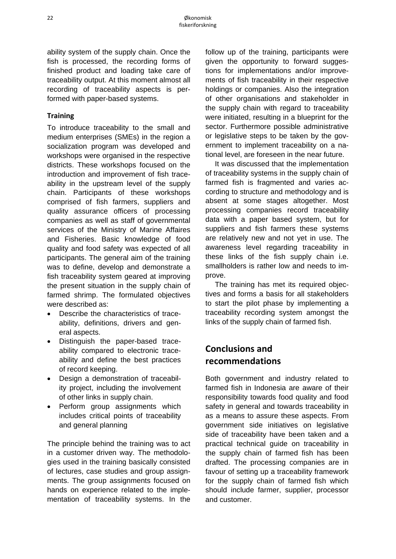ability system of the supply chain. Once the fish is processed, the recording forms of finished product and loading take care of traceability output. At this moment almost all recording of traceability aspects is performed with paper-based systems.

#### **Training**

To introduce traceability to the small and medium enterprises (SMEs) in the region a socialization program was developed and workshops were organised in the respective districts. These workshops focused on the introduction and improvement of fish traceability in the upstream level of the supply chain. Participants of these workshops comprised of fish farmers, suppliers and quality assurance officers of processing companies as well as staff of governmental services of the Ministry of Marine Affaires and Fisheries. Basic knowledge of food quality and food safety was expected of all participants. The general aim of the training was to define, develop and demonstrate a fish traceability system geared at improving the present situation in the supply chain of farmed shrimp. The formulated objectives were described as:

- Describe the characteristics of traceability, definitions, drivers and general aspects.
- Distinguish the paper-based traceability compared to electronic traceability and define the best practices of record keeping.
- Design a demonstration of traceability project, including the involvement of other links in supply chain.
- Perform group assignments which includes critical points of traceability and general planning

The principle behind the training was to act in a customer driven way. The methodologies used in the training basically consisted of lectures, case studies and group assignments. The group assignments focused on hands on experience related to the implementation of traceability systems. In the follow up of the training, participants were given the opportunity to forward suggestions for implementations and/or improvements of fish traceability in their respective holdings or companies. Also the integration of other organisations and stakeholder in the supply chain with regard to traceability were initiated, resulting in a blueprint for the sector. Furthermore possible administrative or legislative steps to be taken by the government to implement traceability on a national level, are foreseen in the near future.

 It was discussed that the implementation of traceability systems in the supply chain of farmed fish is fragmented and varies according to structure and methodology and is absent at some stages altogether. Most processing companies record traceability data with a paper based system, but for suppliers and fish farmers these systems are relatively new and not yet in use. The awareness level regarding traceability in these links of the fish supply chain i.e. smallholders is rather low and needs to improve.

 The training has met its required objectives and forms a basis for all stakeholders to start the pilot phase by implementing a traceability recording system amongst the links of the supply chain of farmed fish.

# **Conclusions and recommendations**

Both government and industry related to farmed fish in Indonesia are aware of their responsibility towards food quality and food safety in general and towards traceability in as a means to assure these aspects. From government side initiatives on legislative side of traceability have been taken and a practical technical guide on traceability in the supply chain of farmed fish has been drafted. The processing companies are in favour of setting up a traceability framework for the supply chain of farmed fish which should include farmer, supplier, processor and customer.